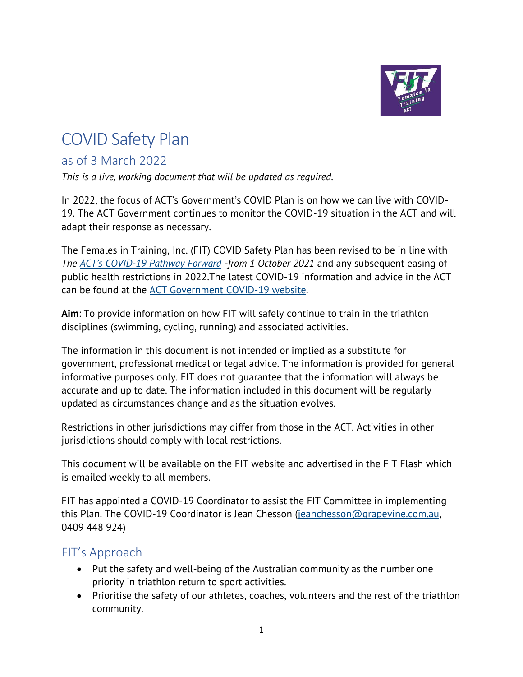

# COVID Safety Plan

## as of 3 March 2022

*This is a live, working document that will be updated as required.* 

In 2022, the focus of ACT's Government's COVID Plan is on how we can live with COVID-19. The ACT Government continues to monitor the COVID-19 situation in the ACT and will adapt their response as necessary.

The Females in Training, Inc. (FIT) COVID Safety Plan has been revised to be in line with *The ACT's COVID[-19 Pathway Forward](https://www.covid19.act.gov.au/__data/assets/pdf_file/0006/1851585/ACT-Pathway-Forward.pdf) -from 1 October 2021* and any subsequent easing of public health restrictions in 2022.The latest COVID-19 information and advice in the ACT can be found at the [ACT Government COVID-19 website.](http://www.covid19.act.gov.au/)

**Aim**: To provide information on how FIT will safely continue to train in the triathlon disciplines (swimming, cycling, running) and associated activities.

The information in this document is not intended or implied as a substitute for government, professional medical or legal advice. The information is provided for general informative purposes only. FIT does not guarantee that the information will always be accurate and up to date. The information included in this document will be regularly updated as circumstances change and as the situation evolves.

Restrictions in other jurisdictions may differ from those in the ACT. Activities in other jurisdictions should comply with local restrictions.

This document will be available on the FIT website and advertised in the FIT Flash which is emailed weekly to all members.

FIT has appointed a COVID-19 Coordinator to assist the FIT Committee in implementing this Plan. The COVID-19 Coordinator is Jean Chesson [\(jeanchesson@grapevine.com.au,](mailto:jeanchesson@grapevine.com.au) 0409 448 924)

### FIT's Approach

- Put the safety and well-being of the Australian community as the number one priority in triathlon return to sport activities.
- Prioritise the safety of our athletes, coaches, volunteers and the rest of the triathlon community.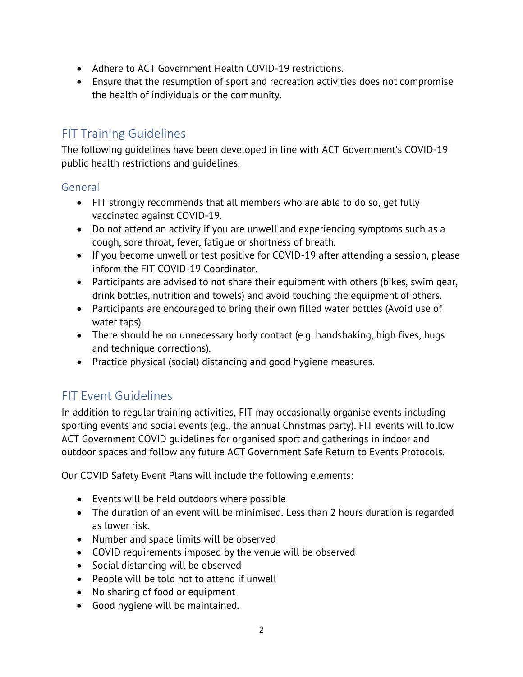- Adhere to ACT Government Health COVID-19 restrictions.
- Ensure that the resumption of sport and recreation activities does not compromise the health of individuals or the community.

## FIT Training Guidelines

The following guidelines have been developed in line with ACT Government's COVID-19 public health restrictions and guidelines.

#### General

- FIT strongly recommends that all members who are able to do so, get fully vaccinated against COVID-19.
- Do not attend an activity if you are unwell and experiencing symptoms such as a cough, sore throat, fever, fatigue or shortness of breath.
- If you become unwell or test positive for COVID-19 after attending a session, please inform the FIT COVID-19 Coordinator.
- Participants are advised to not share their equipment with others (bikes, swim gear, drink bottles, nutrition and towels) and avoid touching the equipment of others.
- Participants are encouraged to bring their own filled water bottles (Avoid use of water taps).
- There should be no unnecessary body contact (e.g. handshaking, high fives, hugs and technique corrections).
- Practice physical (social) distancing and good hygiene measures.

# FIT Event Guidelines

In addition to regular training activities, FIT may occasionally organise events including sporting events and social events (e.g., the annual Christmas party). FIT events will follow ACT Government COVID guidelines for organised sport and gatherings in indoor and outdoor spaces and follow any future ACT Government Safe Return to Events Protocols.

Our COVID Safety Event Plans will include the following elements:

- Events will be held outdoors where possible
- The duration of an event will be minimised. Less than 2 hours duration is regarded as lower risk.
- Number and space limits will be observed
- COVID requirements imposed by the venue will be observed
- Social distancing will be observed
- People will be told not to attend if unwell
- No sharing of food or equipment
- Good hygiene will be maintained.